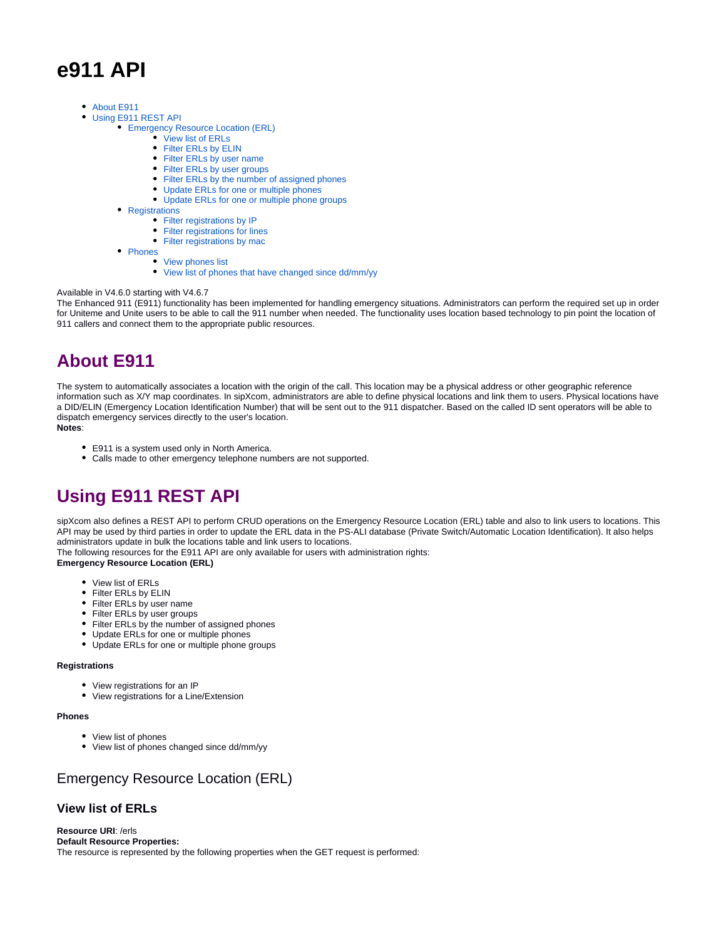# **e911 API**

- [About E911](#page-0-0)
- [Using E911 REST API](#page-0-1)  $\bullet$ 
	- [Emergency Resource Location \(ERL\)](#page-0-2)
		- [View list of ERLs](#page-0-3)
		- [Filter ERLs by ELIN](#page-1-0)
		- [Filter ERLs by user name](#page-1-1)
		- [Filter ERLs by user groups](#page-2-0)
		- [Filter ERLs by the number of assigned phones](#page-2-1)
		- [Update ERLs for one or multiple phones](#page-3-0)
		- [Update ERLs for one or multiple phone groups](#page-3-1)
		- [Registrations](#page-4-0)
			- [Filter registrations by IP](#page-4-1)
			- [Filter registrations for lines](#page-5-0)
			- [Filter registrations by mac](#page-6-0)
		- [Phones](#page-7-0)
			- [View phones list](#page-7-1)
				- [View list of phones that have changed since dd/mm/yy](#page-7-2)

#### Available in V4.6.0 starting with V4.6.7

The Enhanced 911 (E911) functionality has been implemented for handling emergency situations. Administrators can perform the required set up in order for Uniteme and Unite users to be able to call the 911 number when needed. The functionality uses location based technology to pin point the location of 911 callers and connect them to the appropriate public resources.

# <span id="page-0-0"></span>**About E911**

The system to automatically associates a location with the origin of the call. This location may be a physical address or other geographic reference information such as X/Y map coordinates. In sipXcom, administrators are able to define physical locations and link them to users. Physical locations have a DID/ELIN (Emergency Location Identification Number) that will be sent out to the 911 dispatcher. Based on the called ID sent operators will be able to dispatch emergency services directly to the user's location.

#### **Notes**:

- E911 is a system used only in North America.
- Calls made to other emergency telephone numbers are not supported.

# <span id="page-0-1"></span>**Using E911 REST API**

sipXcom also defines a REST API to perform CRUD operations on the Emergency Resource Location (ERL) table and also to link users to locations. This API may be used by third parties in order to update the ERL data in the PS-ALI database (Private Switch/Automatic Location Identification). It also helps administrators update in bulk the locations table and link users to locations.

The following resources for the E911 API are only available for users with administration rights:

**Emergency Resource Location (ERL)**

- View list of ERLs
- Filter ERLs by ELIN
- Filter ERLs by user name
- Filter ERLs by user groups
- Filter ERLs by the number of assigned phones
- Update ERLs for one or multiple phones
- Update ERLs for one or multiple phone groups

#### **Registrations**

- View registrations for an IP
- View registrations for a Line/Extension

## **Phones**

- View list of phones
- View list of phones changed since dd/mm/yy

# <span id="page-0-2"></span>Emergency Resource Location (ERL)

## <span id="page-0-3"></span>**View list of ERLs**

**Resource URI**: /erls **Default Resource Properties:** The resource is represented by the following properties when the GET request is performed: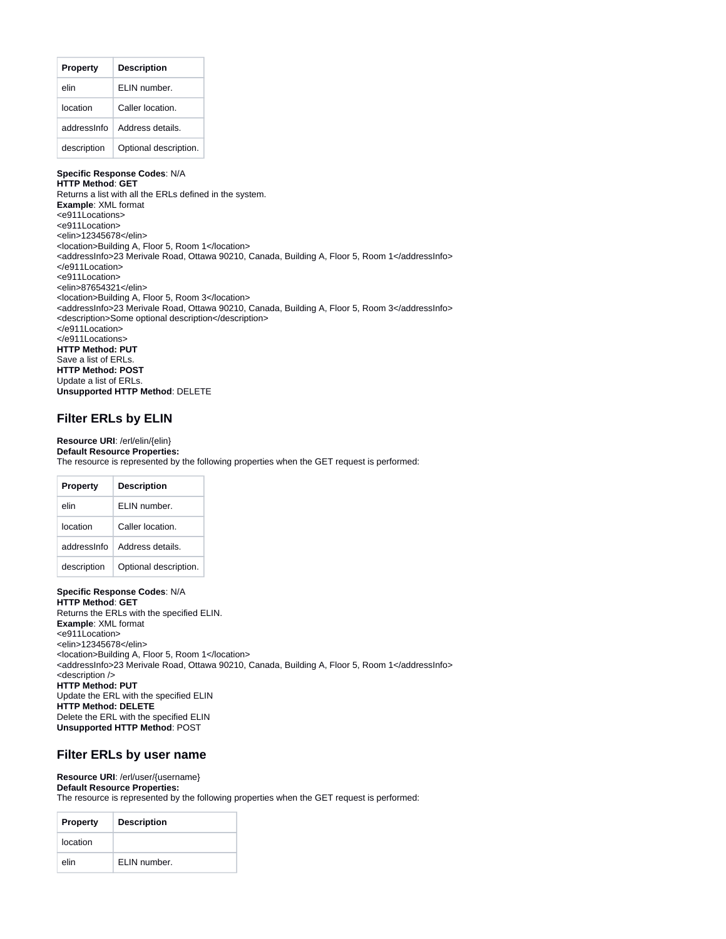| <b>Property</b> | <b>Description</b>    |
|-----------------|-----------------------|
| elin            | FI IN number.         |
| location        | Caller location.      |
| addressinfo     | Address details.      |
| description     | Optional description. |

## **Specific Response Codes**: N/A

**HTTP Method**: **GET** Returns a list with all the ERLs defined in the system. **Example**: XML format <e911Locations> <e911Location> <elin>12345678</elin> <location>Building A, Floor 5, Room 1</location> <addressInfo>23 Merivale Road, Ottawa 90210, Canada, Building A, Floor 5, Room 1</addressInfo> </e911Location> <e911Location> <elin>87654321</elin> <location>Building A, Floor 5, Room 3</location> <addressInfo>23 Merivale Road, Ottawa 90210, Canada, Building A, Floor 5, Room 3</addressInfo> <description>Some optional description</description> </e911Location> </e911Locations> **HTTP Method: PUT** Save a list of ERLs. **HTTP Method: POST** Update a list of ERLs. **Unsupported HTTP Method**: DELETE

## <span id="page-1-0"></span>**Filter ERLs by ELIN**

**Resource URI**: /erl/elin/{elin} **Default Resource Properties:** The resource is represented by the following properties when the GET request is performed:

| <b>Property</b> | <b>Description</b>    |
|-----------------|-----------------------|
| elin            | FI IN number.         |
| Iocation        | Caller location.      |
| addressinfo     | Address details.      |
| description     | Optional description. |

**Specific Response Codes**: N/A **HTTP Method**: **GET** Returns the ERLs with the specified ELIN. **Example**: XML format <e911Location> <elin>12345678</elin> <location>Building A, Floor 5, Room 1</location> <addressInfo>23 Merivale Road, Ottawa 90210, Canada, Building A, Floor 5, Room 1</addressInfo> <description /> **HTTP Method: PUT** Update the ERL with the specified ELIN **HTTP Method: DELETE** Delete the ERL with the specified ELIN **Unsupported HTTP Method**: POST

## <span id="page-1-1"></span>**Filter ERLs by user name**

## **Resource URI**: /erl/user/{username} **Default Resource Properties:**

The resource is represented by the following properties when the GET request is performed:

| <b>Property</b> | <b>Description</b> |
|-----------------|--------------------|
| location        |                    |
| elin            | ELIN number.       |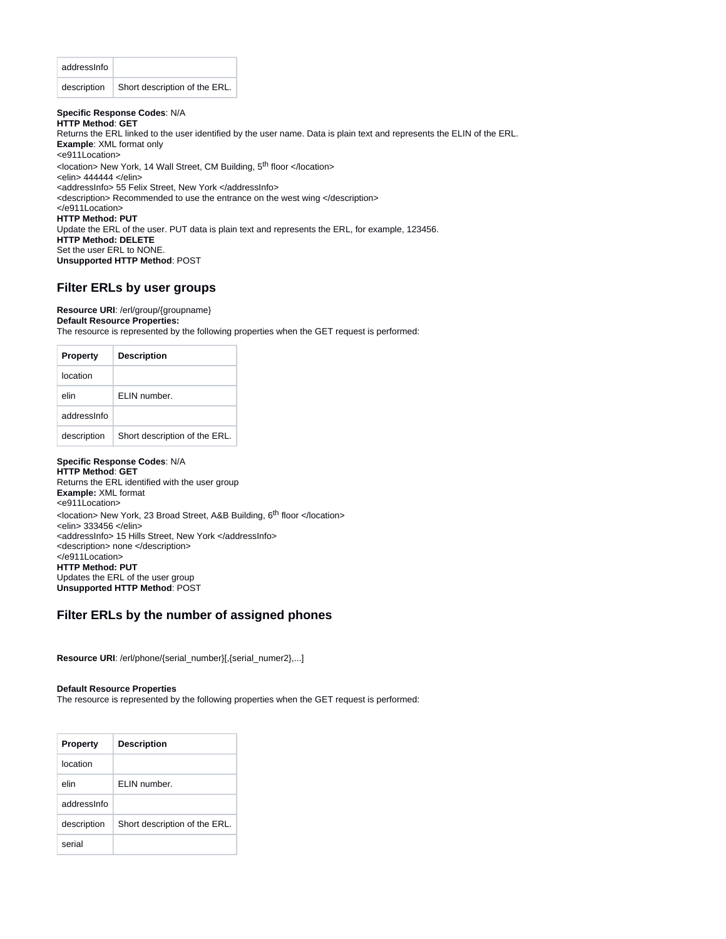| addressinfo |                               |
|-------------|-------------------------------|
| description | Short description of the ERL. |

**Specific Response Codes**: N/A **HTTP Method**: **GET** Returns the ERL linked to the user identified by the user name. Data is plain text and represents the ELIN of the ERL. **Example**: XML format only <e911Location> <location> New York, 14 Wall Street, CM Building, 5<sup>th</sup> floor </location> <elin> 444444 </elin> <addressInfo> 55 Felix Street, New York </addressInfo> <description> Recommended to use the entrance on the west wing </description> </e911Location> **HTTP Method: PUT** Update the ERL of the user. PUT data is plain text and represents the ERL, for example, 123456. **HTTP Method: DELETE** Set the user ERL to NONE. **Unsupported HTTP Method**: POST

# <span id="page-2-0"></span>**Filter ERLs by user groups**

## **Resource URI**: /erl/group/{groupname} **Default Resource Properties:**

The resource is represented by the following properties when the GET request is performed:

| <b>Property</b> | <b>Description</b>            |
|-----------------|-------------------------------|
| location        |                               |
| elin            | FI IN number.                 |
| addressinfo     |                               |
| description     | Short description of the ERL. |

## **Specific Response Codes**: N/A

**HTTP Method**: **GET** Returns the ERL identified with the user group **Example:** XML format <e911Location> <location> New York, 23 Broad Street, A&B Building, 6<sup>th</sup> floor </location> <elin> 333456 </elin> <addressInfo> 15 Hills Street, New York </addressInfo> <description> none </description> </e911Location> **HTTP Method: PUT** Updates the ERL of the user group **Unsupported HTTP Method**: POST

# <span id="page-2-1"></span>**Filter ERLs by the number of assigned phones**

**Resource URI**: /erl/phone/{serial\_number}[,{serial\_numer2},...]

#### **Default Resource Properties**

The resource is represented by the following properties when the GET request is performed:

| <b>Property</b> | <b>Description</b>            |
|-----------------|-------------------------------|
| location        |                               |
| elin            | FI IN number.                 |
| addressinfo     |                               |
| description     | Short description of the ERL. |
| serial          |                               |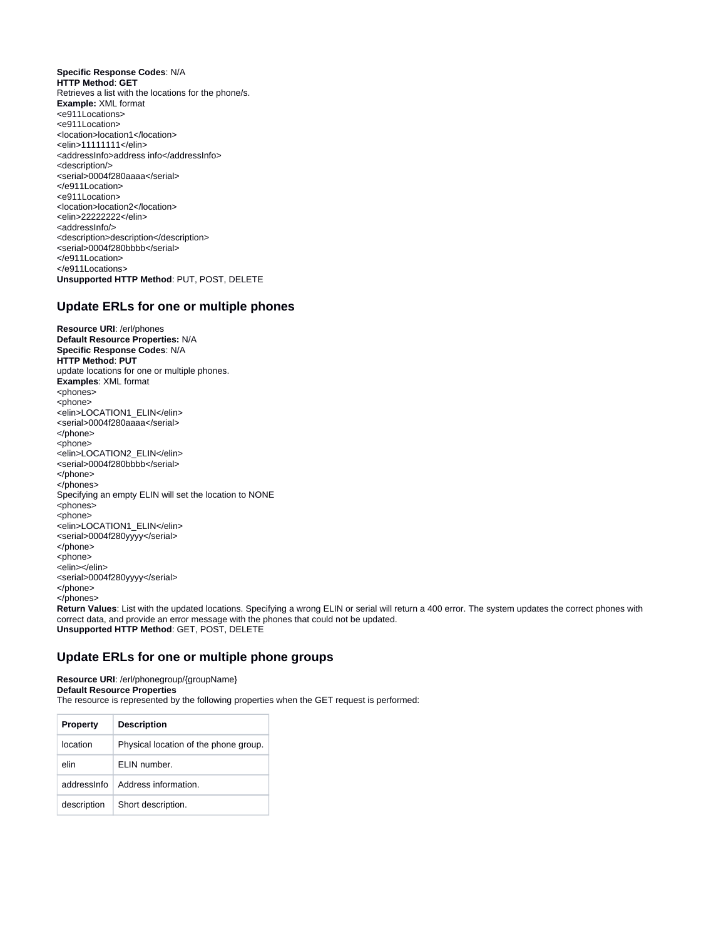**Specific Response Codes**: N/A **HTTP Method**: **GET** Retrieves a list with the locations for the phone/s. **Example:** XML format <e911Locations> <e911Location> <location>location1</location> <elin>11111111</elin> <addressInfo>address info</addressInfo> <description/> <serial>0004f280aaaa</serial> </e911Location> <e911Location> <location>location2</location> <elin>22222222</elin> <addressInfo/> <description>description</description> <serial>0004f280bbbb</serial> </e911Location> </e911Locations> **Unsupported HTTP Method**: PUT, POST, DELETE

## <span id="page-3-0"></span>**Update ERLs for one or multiple phones**

**Resource URI**: /erl/phones **Default Resource Properties:** N/A **Specific Response Codes**: N/A **HTTP Method**: **PUT** update locations for one or multiple phones. **Examples**: XML format <phones> <phone> <elin>LOCATION1\_ELIN</elin> <serial>0004f280aaaa</serial> </phone> <phone> <elin>LOCATION2\_ELIN</elin> <serial>0004f280bbbb</serial> </phone> </phones> Specifying an empty ELIN will set the location to NONE <phones> <phone> <elin>LOCATION1\_ELIN</elin> <serial>0004f280yyyy</serial> </phone> <phone> <elin></elin> <serial>0004f280yyyy</serial> </phone> </phones>

**Return Values**: List with the updated locations. Specifying a wrong ELIN or serial will return a 400 error. The system updates the correct phones with correct data, and provide an error message with the phones that could not be updated. **Unsupported HTTP Method**: GET, POST, DELETE

## <span id="page-3-1"></span>**Update ERLs for one or multiple phone groups**

**Resource URI**: /erl/phonegroup/{groupName} **Default Resource Properties** The resource is represented by the following properties when the GET request is performed:

| <b>Property</b> | <b>Description</b>                    |
|-----------------|---------------------------------------|
| location        | Physical location of the phone group. |
| elin            | FI IN number.                         |
| addressinfo     | Address information.                  |
| description     | Short description.                    |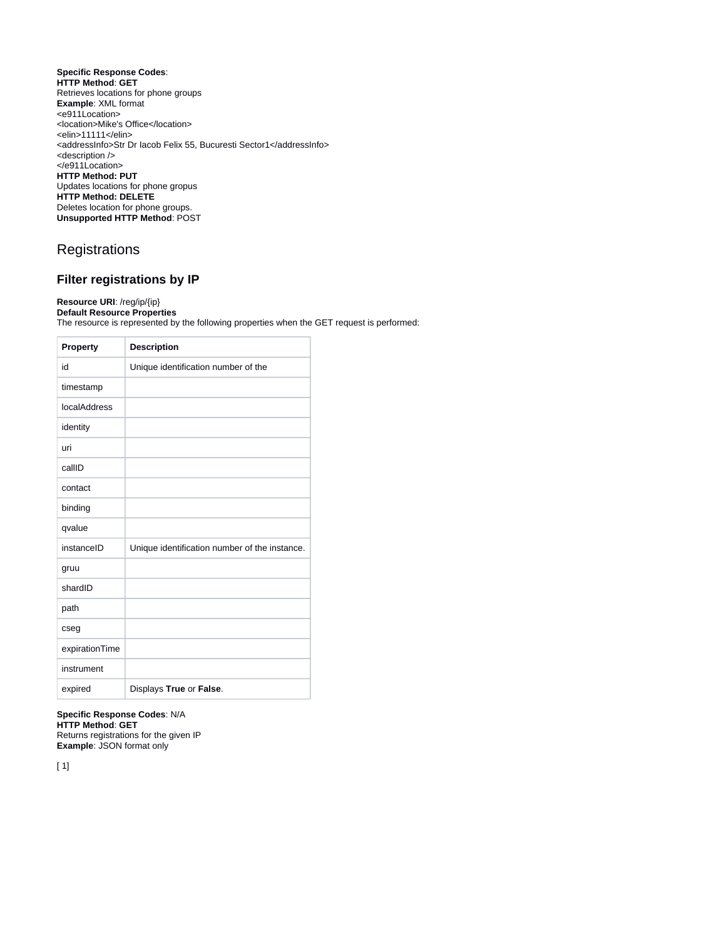#### **Specific Response Codes**: **HTTP Method**: **GET** Retrieves locations for phone groups **Example**: XML format <e911Location> <location>Mike's Office</location> <elin>11111</elin> <addressInfo>Str Dr Iacob Felix 55, Bucuresti Sector1</addressInfo> <description /> </e911Location> **HTTP Method: PUT** Updates locations for phone gropus **HTTP Method: DELETE** Deletes location for phone groups. **Unsupported HTTP Method**: POST

# <span id="page-4-0"></span>**Registrations**

# <span id="page-4-1"></span>**Filter registrations by IP**

## **Resource URI**: /reg/ip/{ip} **Default Resource Properties** The resource is represented by the following properties when the GET request is performed:

| Property       | <b>Description</b>                            |
|----------------|-----------------------------------------------|
| id             | Unique identification number of the           |
| timestamp      |                                               |
| localAddress   |                                               |
| identity       |                                               |
| uri            |                                               |
| callID         |                                               |
| contact        |                                               |
| binding        |                                               |
| qvalue         |                                               |
| instanceID     | Unique identification number of the instance. |
| gruu           |                                               |
| shardID        |                                               |
| path           |                                               |
| cseg           |                                               |
| expirationTime |                                               |
| instrument     |                                               |
| expired        | Displays True or False.                       |

**Specific Response Codes**: N/A **HTTP Method**: **GET** Returns registrations for the given IP **Example**: JSON format only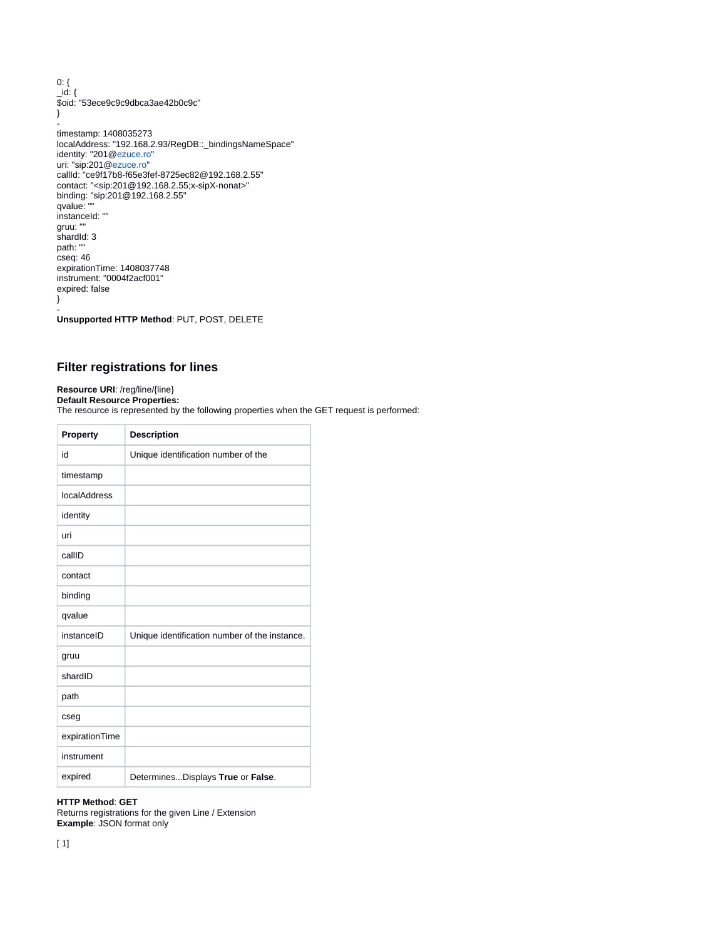0: { \_id: { \$oid: "53ece9c9c9dbca3ae42b0c9c" } timestamp: 1408035273 localAddress: "192.168.2.93/RegDB::\_bindingsNameSpace" identity: "201@[ezuce.ro"](http://ezuce.ro) uri: "sip:201@[ezuce.ro"](http://ezuce.ro) callId: "ce9f17b8-f65e3fef-8725ec82@192.168.2.55" contact: "<sip:201@192.168.2.55;x-sipX-nonat>" binding: "sip:201@192.168.2.55"

qvalue: "" instanceId: "" gruu: "" shardId: 3 path: "" cseq: 46 expirationTime: 1408037748 instrument: "0004f2acf001" expired: false }

- **Unsupported HTTP Method**: PUT, POST, DELETE

# <span id="page-5-0"></span>**Filter registrations for lines**

**Resource URI**: /reg/line/{line}

**Default Resource Properties:** The resource is represented by the following properties when the GET request is performed:

| Property       | <b>Description</b>                            |
|----------------|-----------------------------------------------|
| id             | Unique identification number of the           |
| timestamp      |                                               |
| localAddress   |                                               |
| identity       |                                               |
| uri            |                                               |
| callID         |                                               |
| contact        |                                               |
| binding        |                                               |
| qvalue         |                                               |
| instanceID     | Unique identification number of the instance. |
| gruu           |                                               |
| shardID        |                                               |
| path           |                                               |
| cseg           |                                               |
| expirationTime |                                               |
| instrument     |                                               |
| expired        | DeterminesDisplays True or False.             |

# **HTTP Method**: **GET**

Returns registrations for the given Line / Extension **Example**: JSON format only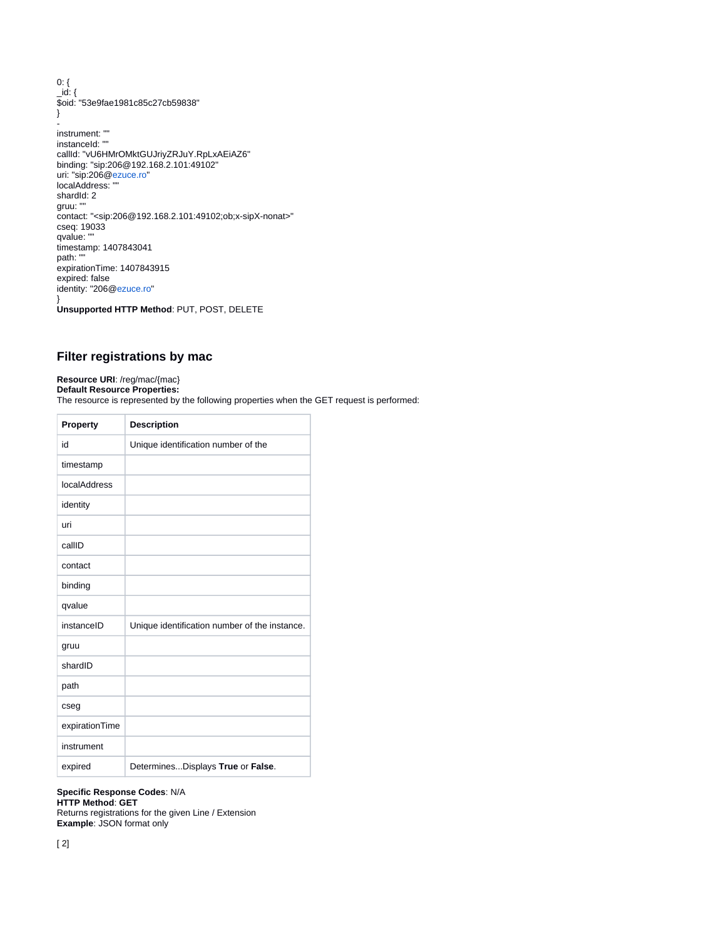0: { \_id: { \$oid: "53e9fae1981c85c27cb59838" } instrument: "" instanceId: "" callId: "vU6HMrOMktGUJriyZRJuY.RpLxAEiAZ6" binding: "sip:206@192.168.2.101:49102" uri: "sip:206@[ezuce.ro"](http://ezuce.ro) localAddress: "" shardId: 2 gruu: "" contact: "<sip:206@192.168.2.101:49102;ob;x-sipX-nonat>" cseq: 19033 qvalue: "" timestamp: 1407843041 path: "" expirationTime: 1407843915 expired: false identity: "206@[ezuce.ro"](http://ezuce.ro) }

**Unsupported HTTP Method**: PUT, POST, DELETE

# <span id="page-6-0"></span>**Filter registrations by mac**

# **Resource URI**: /reg/mac/{mac}

**Default Resource Properties:** The resource is represented by the following properties when the GET request is performed:

| <b>Property</b> | <b>Description</b>                            |
|-----------------|-----------------------------------------------|
| id              | Unique identification number of the           |
| timestamp       |                                               |
| localAddress    |                                               |
| identity        |                                               |
| uri             |                                               |
| callID          |                                               |
| contact         |                                               |
| binding         |                                               |
| qvalue          |                                               |
| instanceID      | Unique identification number of the instance. |
| gruu            |                                               |
| shardID         |                                               |
| path            |                                               |
| cseg            |                                               |
| expirationTime  |                                               |
| instrument      |                                               |
| expired         | DeterminesDisplays True or False.             |

## **Specific Response Codes**: N/A

**HTTP Method**: **GET**

Returns registrations for the given Line / Extension **Example**: JSON format only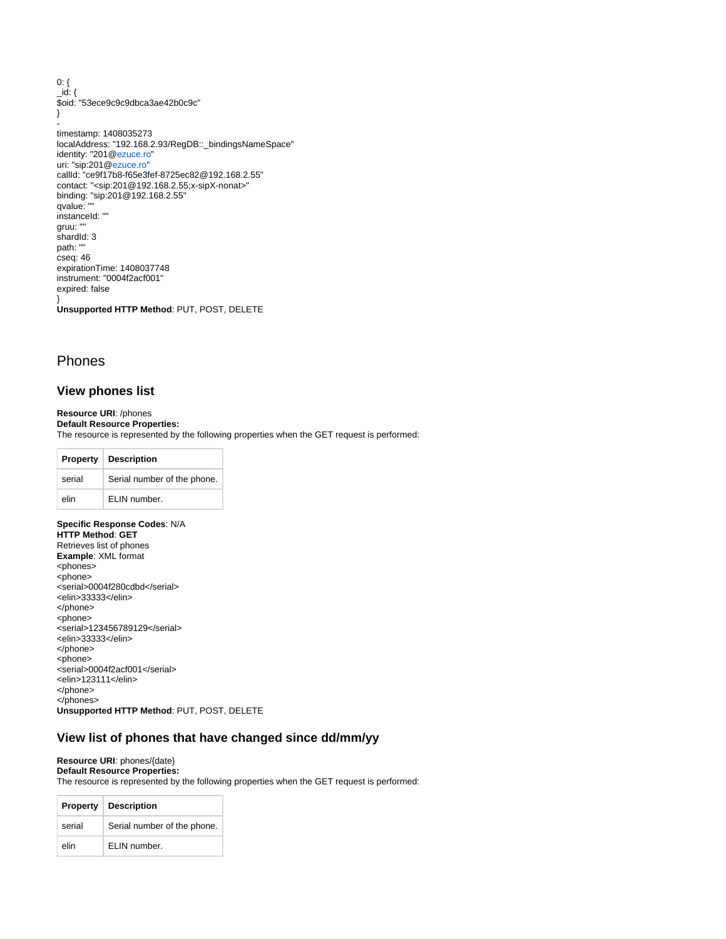0: { \_id: { \$oid: "53ece9c9c9dbca3ae42b0c9c" }

timestamp: 1408035273 localAddress: "192.168.2.93/RegDB::\_bindingsNameSpace" identity: "201@[ezuce.ro"](http://ezuce.ro) uri: "sip:201@[ezuce.ro"](http://ezuce.ro) callId: "ce9f17b8-f65e3fef-8725ec82@192.168.2.55" contact: "<sip:201@192.168.2.55;x-sipX-nonat>" binding: "sip:201@192.168.2.55" qvalue: "" instanceId: "" gruu: " shardId: 3 path: "" cseq: 46 expirationTime: 1408037748 instrument: "0004f2acf001" expired: false }

**Unsupported HTTP Method**: PUT, POST, DELETE

# <span id="page-7-0"></span>Phones

-

## <span id="page-7-1"></span>**View phones list**

**Resource URI**: /phones

**Default Resource Properties:** The resource is represented by the following properties when the GET request is performed:

|        | <b>Property Description</b> |
|--------|-----------------------------|
| serial | Serial number of the phone. |
| elin   | ELIN number.                |

## **Specific Response Codes**: N/A **HTTP Method**: **GET** Retrieves list of phones

**Example**: XML format <phones> <phone> <serial>0004f280cdbd</serial> <elin>33333</elin> </phone> <phone> <serial>123456789129</serial> <elin>33333</elin> </phone> <phone> <serial>0004f2acf001</serial> <elin>123111</elin> </phone> </phones> **Unsupported HTTP Method**: PUT, POST, DELETE

## <span id="page-7-2"></span>**View list of phones that have changed since dd/mm/yy**

#### **Resource URI**: phones/{date} **Default Resource Properties:**

The resource is represented by the following properties when the GET request is performed:

|        | <b>Property Description</b> |
|--------|-----------------------------|
| serial | Serial number of the phone. |
| elin   | ELIN number.                |